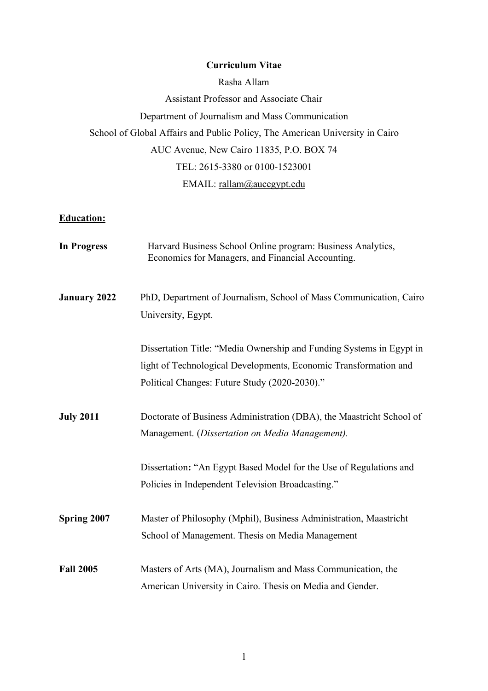## **Curriculum Vitae**

Rasha Allam Assistant Professor and Associate Chair Department of Journalism and Mass Communication School of Global Affairs and Public Policy, The American University in Cairo AUC Avenue, New Cairo 11835, P.O. BOX 74 TEL: 2615-3380 or 0100-1523001 EMAIL: rallam@aucegypt.edu

## **Education:**

| <b>In Progress</b>  | Harvard Business School Online program: Business Analytics,<br>Economics for Managers, and Financial Accounting.                                                                          |
|---------------------|-------------------------------------------------------------------------------------------------------------------------------------------------------------------------------------------|
| <b>January 2022</b> | PhD, Department of Journalism, School of Mass Communication, Cairo<br>University, Egypt.                                                                                                  |
|                     | Dissertation Title: "Media Ownership and Funding Systems in Egypt in<br>light of Technological Developments, Economic Transformation and<br>Political Changes: Future Study (2020-2030)." |
| <b>July 2011</b>    | Doctorate of Business Administration (DBA), the Maastricht School of<br>Management. (Dissertation on Media Management).                                                                   |
|                     | Dissertation: "An Egypt Based Model for the Use of Regulations and<br>Policies in Independent Television Broadcasting."                                                                   |
| Spring 2007         | Master of Philosophy (Mphil), Business Administration, Maastricht<br>School of Management. Thesis on Media Management                                                                     |
| <b>Fall 2005</b>    | Masters of Arts (MA), Journalism and Mass Communication, the<br>American University in Cairo. Thesis on Media and Gender.                                                                 |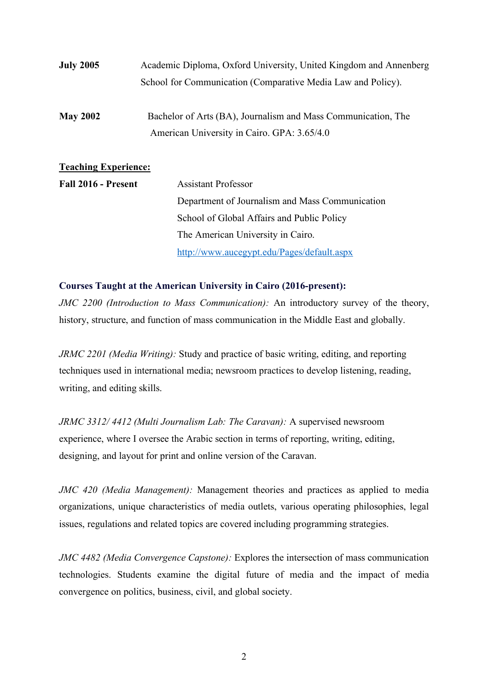| <b>July 2005</b>     | Academic Diploma, Oxford University, United Kingdom and Annenberg                                            |
|----------------------|--------------------------------------------------------------------------------------------------------------|
|                      | School for Communication (Comparative Media Law and Policy).                                                 |
| <b>May 2002</b>      | Bachelor of Arts (BA), Journalism and Mass Communication, The<br>American University in Cairo. GPA: 3.65/4.0 |
| Teaching Experience: |                                                                                                              |

| Teaching Experience. |                                                 |
|----------------------|-------------------------------------------------|
| Fall 2016 - Present  | <b>Assistant Professor</b>                      |
|                      | Department of Journalism and Mass Communication |
|                      | School of Global Affairs and Public Policy      |
|                      | The American University in Cairo.               |
|                      | http://www.aucegypt.edu/Pages/default.aspx      |

## **Courses Taught at the American University in Cairo (2016-present):**

*JMC 2200 (Introduction to Mass Communication):* An introductory survey of the theory, history, structure, and function of mass communication in the Middle East and globally.

*JRMC 2201 (Media Writing):* Study and practice of basic writing, editing, and reporting techniques used in international media; newsroom practices to develop listening, reading, writing, and editing skills.

*JRMC 3312/ 4412 (Multi Journalism Lab: The Caravan):* A supervised newsroom experience, where I oversee the Arabic section in terms of reporting, writing, editing, designing, and layout for print and online version of the Caravan.

*JMC 420 (Media Management):* Management theories and practices as applied to media organizations, unique characteristics of media outlets, various operating philosophies, legal issues, regulations and related topics are covered including programming strategies.

*JMC 4482 (Media Convergence Capstone):* Explores the intersection of mass communication technologies. Students examine the digital future of media and the impact of media convergence on politics, business, civil, and global society.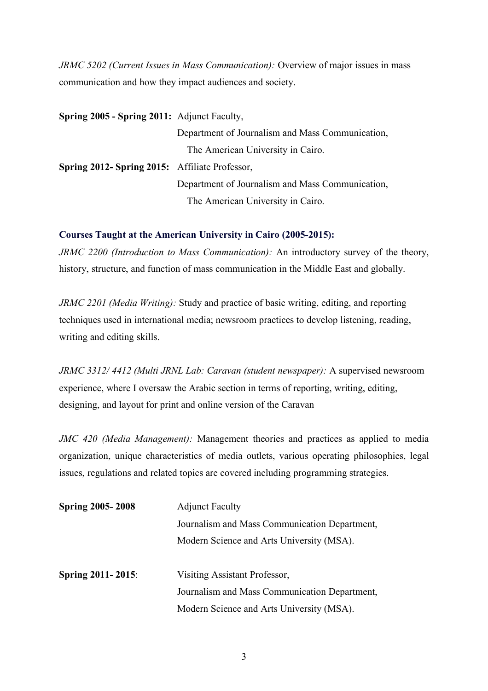*JRMC 5202 (Current Issues in Mass Communication): Overview of major issues in mass* communication and how they impact audiences and society.

| <b>Spring 2005 - Spring 2011:</b> Adjunct Faculty, |                                                  |
|----------------------------------------------------|--------------------------------------------------|
|                                                    | Department of Journalism and Mass Communication, |
|                                                    | The American University in Cairo.                |
| Spring 2012- Spring 2015: Affiliate Professor,     |                                                  |
|                                                    | Department of Journalism and Mass Communication, |
|                                                    | The American University in Cairo.                |

#### **Courses Taught at the American University in Cairo (2005-2015):**

*JRMC 2200 (Introduction to Mass Communication):* An introductory survey of the theory, history, structure, and function of mass communication in the Middle East and globally.

*JRMC 2201 (Media Writing):* Study and practice of basic writing, editing, and reporting techniques used in international media; newsroom practices to develop listening, reading, writing and editing skills.

*JRMC 3312/ 4412 (Multi JRNL Lab: Caravan (student newspaper):* A supervised newsroom experience, where I oversaw the Arabic section in terms of reporting, writing, editing, designing, and layout for print and online version of the Caravan

*JMC 420 (Media Management):* Management theories and practices as applied to media organization, unique characteristics of media outlets, various operating philosophies, legal issues, regulations and related topics are covered including programming strategies.

| <b>Spring 2005-2008</b>  | <b>Adjunct Faculty</b>                        |  |  |
|--------------------------|-----------------------------------------------|--|--|
|                          | Journalism and Mass Communication Department, |  |  |
|                          | Modern Science and Arts University (MSA).     |  |  |
|                          |                                               |  |  |
| <b>Spring 2011-2015:</b> | Visiting Assistant Professor,                 |  |  |
|                          | Journalism and Mass Communication Department, |  |  |
|                          | Modern Science and Arts University (MSA).     |  |  |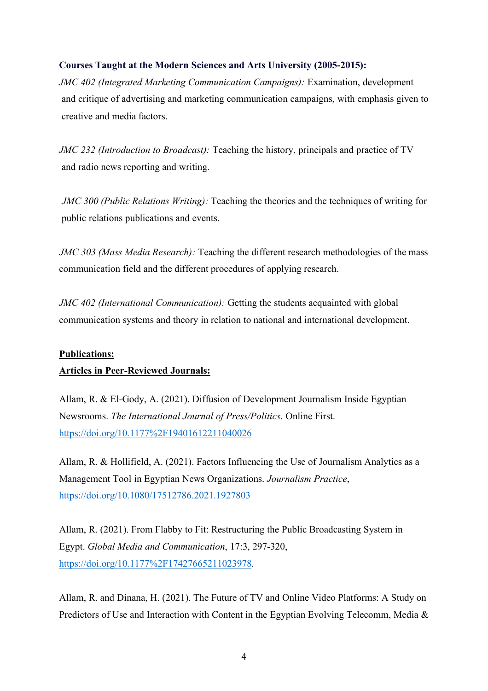## **Courses Taught at the Modern Sciences and Arts University (2005-2015):**

*JMC 402 (Integrated Marketing Communication Campaigns):* Examination, development and critique of advertising and marketing communication campaigns, with emphasis given to creative and media factors.

*JMC 232 (Introduction to Broadcast):* Teaching the history, principals and practice of TV and radio news reporting and writing.

 *JMC 300 (Public Relations Writing):* Teaching the theories and the techniques of writing for public relations publications and events.

 *JMC 303 (Mass Media Research):* Teaching the different research methodologies of the mass communication field and the different procedures of applying research.

*JMC 402 (International Communication):* Getting the students acquainted with global communication systems and theory in relation to national and international development.

#### **Publications:**

## **Articles in Peer-Reviewed Journals:**

Allam, R. & El-Gody, A. (2021). Diffusion of Development Journalism Inside Egyptian Newsrooms. *The International Journal of Press/Politics*. Online First. https://doi.org/10.1177%2F19401612211040026

Allam, R. & Hollifield, A. (2021). Factors Influencing the Use of Journalism Analytics as a Management Tool in Egyptian News Organizations. *Journalism Practice*, https://doi.org/10.1080/17512786.2021.1927803

Allam, R. (2021). From Flabby to Fit: Restructuring the Public Broadcasting System in Egypt. *Global Media and Communication*, 17:3, 297-320, https://doi.org/10.1177%2F17427665211023978.

Allam, R. and Dinana, H. (2021). The Future of TV and Online Video Platforms: A Study on Predictors of Use and Interaction with Content in the Egyptian Evolving Telecomm, Media &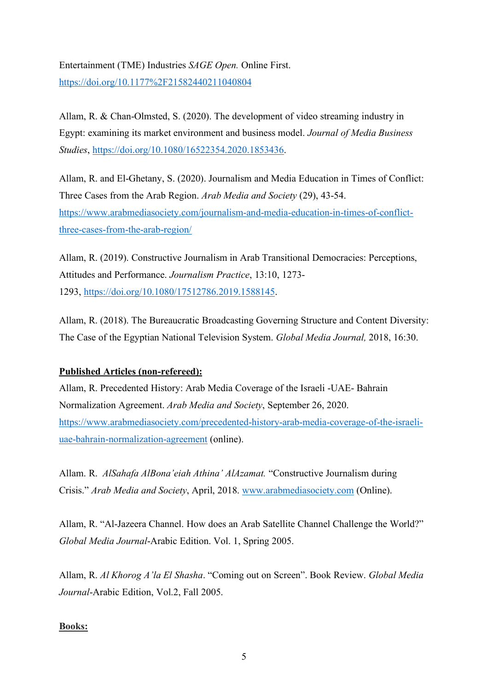# Entertainment (TME) Industries *SAGE Open.* Online First. https://doi.org/10.1177%2F21582440211040804

Allam, R. & Chan-Olmsted, S. (2020). The development of video streaming industry in Egypt: examining its market environment and business model. *Journal of Media Business Studies*, https://doi.org/10.1080/16522354.2020.1853436.

Allam, R. and El-Ghetany, S. (2020). Journalism and Media Education in Times of Conflict: Three Cases from the Arab Region. *Arab Media and Society* (29), 43-54. https://www.arabmediasociety.com/journalism-and-media-education-in-times-of-conflictthree-cases-from-the-arab-region/

Allam, R. (2019). Constructive Journalism in Arab Transitional Democracies: Perceptions, Attitudes and Performance. *Journalism Practice*, 13:10, 1273- 1293, https://doi.org/10.1080/17512786.2019.1588145.

Allam, R. (2018). The Bureaucratic Broadcasting Governing Structure and Content Diversity: The Case of the Egyptian National Television System. *Global Media Journal,* 2018, 16:30.

## **Published Articles (non-refereed):**

Allam, R. Precedented History: Arab Media Coverage of the Israeli -UAE- Bahrain Normalization Agreement. *Arab Media and Society*, September 26, 2020. https://www.arabmediasociety.com/precedented-history-arab-media-coverage-of-the-israeliuae-bahrain-normalization-agreement (online).

Allam. R. *AlSahafa AlBona'eiah Athina' AlAzamat.* "Constructive Journalism during Crisis." *Arab Media and Society*, April, 2018. www.arabmediasociety.com (Online).

Allam, R. "Al-Jazeera Channel. How does an Arab Satellite Channel Challenge the World?" *Global Media Journal*-Arabic Edition. Vol. 1, Spring 2005.

Allam, R. *Al Khorog A'la El Shasha*. "Coming out on Screen". Book Review. *Global Media Journal*-Arabic Edition, Vol.2, Fall 2005.

## **Books:**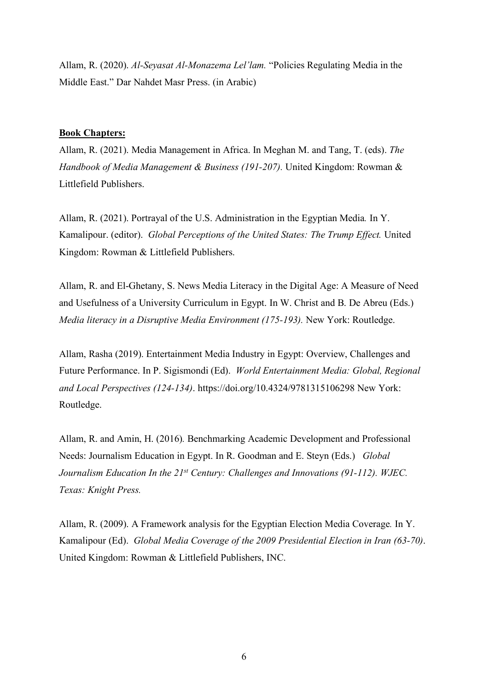Allam, R. (2020). *Al-Seyasat Al-Monazema Lel'lam.* "Policies Regulating Media in the Middle East." Dar Nahdet Masr Press. (in Arabic)

#### **Book Chapters:**

Allam, R. (2021). Media Management in Africa. In Meghan M. and Tang, T. (eds). *The Handbook of Media Management & Business (191-207).* United Kingdom: Rowman & Littlefield Publishers.

Allam, R. (2021). Portrayal of the U.S. Administration in the Egyptian Media*.* In Y. Kamalipour. (editor). *Global Perceptions of the United States: The Trump Effect.* United Kingdom: Rowman & Littlefield Publishers.

Allam, R. and El-Ghetany, S. News Media Literacy in the Digital Age: A Measure of Need and Usefulness of a University Curriculum in Egypt. In W. Christ and B. De Abreu (Eds.) *Media literacy in a Disruptive Media Environment (175-193).* New York: Routledge.

Allam, Rasha (2019). Entertainment Media Industry in Egypt: Overview, Challenges and Future Performance. In P. Sigismondi (Ed). *World Entertainment Media: Global, Regional and Local Perspectives (124-134)*. https://doi.org/10.4324/9781315106298 New York: Routledge.

Allam, R. and Amin, H. (2016)*.* Benchmarking Academic Development and Professional Needs: Journalism Education in Egypt. In R. Goodman and E. Steyn (Eds.) *Global Journalism Education In the 21st Century: Challenges and Innovations (91-112). WJEC. Texas: Knight Press.* 

Allam, R. (2009). A Framework analysis for the Egyptian Election Media Coverage*.* In Y. Kamalipour (Ed). *Global Media Coverage of the 2009 Presidential Election in Iran (63-70)*. United Kingdom: Rowman & Littlefield Publishers, INC.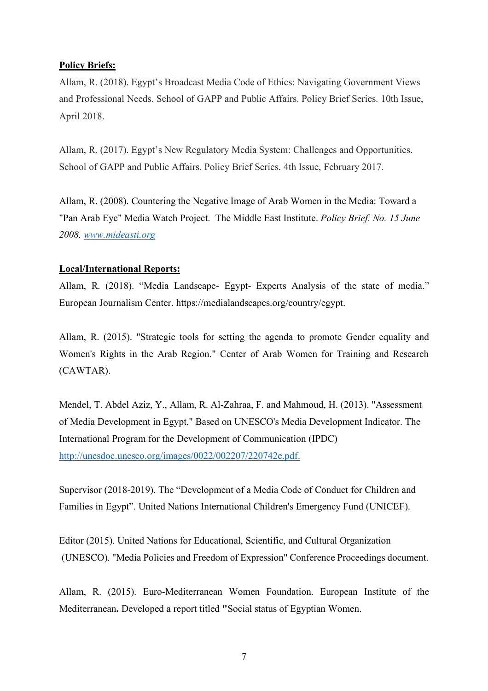## **Policy Briefs:**

Allam, R. (2018). Egypt's Broadcast Media Code of Ethics: Navigating Government Views and Professional Needs. School of GAPP and Public Affairs. Policy Brief Series. 10th Issue, April 2018.

Allam, R. (2017). Egypt's New Regulatory Media System: Challenges and Opportunities. School of GAPP and Public Affairs. Policy Brief Series. 4th Issue, February 2017.

Allam, R. (2008). Countering the Negative Image of Arab Women in the Media: Toward a "Pan Arab Eye" Media Watch Project. The Middle East Institute. *Policy Brief. No. 15 June 2008. www.mideasti.org*

## **Local/International Reports:**

Allam, R. (2018). "Media Landscape- Egypt- Experts Analysis of the state of media." European Journalism Center. https://medialandscapes.org/country/egypt.

Allam, R. (2015). "Strategic tools for setting the agenda to promote Gender equality and Women's Rights in the Arab Region." Center of Arab Women for Training and Research (CAWTAR).

Mendel, T. Abdel Aziz, Y., Allam, R. Al-Zahraa, F. and Mahmoud, H. (2013). "Assessment of Media Development in Egypt." Based on UNESCO's Media Development Indicator. The International Program for the Development of Communication (IPDC) http://unesdoc.unesco.org/images/0022/002207/220742e.pdf.

Supervisor (2018-2019). The "Development of a Media Code of Conduct for Children and Families in Egypt". United Nations International Children's Emergency Fund (UNICEF).

Editor (2015). United Nations for Educational, Scientific, and Cultural Organization (UNESCO). "Media Policies and Freedom of Expression" Conference Proceedings document.

Allam, R. (2015). Euro-Mediterranean Women Foundation. European Institute of the Mediterranean**.** Developed a report titled **"**Social status of Egyptian Women.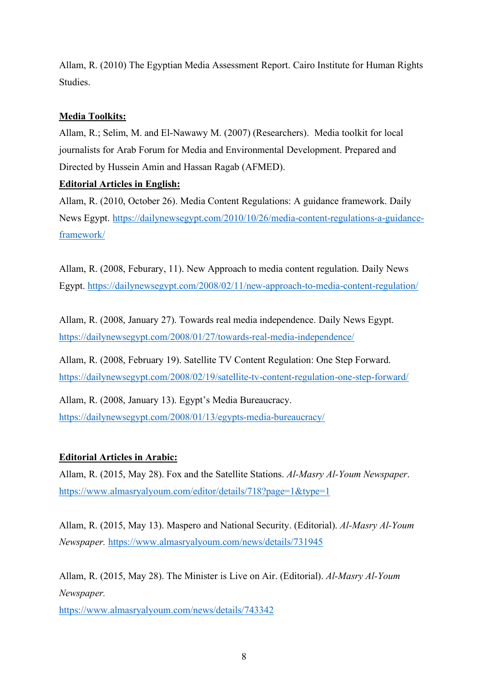Allam, R. (2010) The Egyptian Media Assessment Report. Cairo Institute for Human Rights Studies.

## **Media Toolkits:**

Allam, R.; Selim, M. and El-Nawawy M. (2007) (Researchers). Media toolkit for local journalists for Arab Forum for Media and Environmental Development. Prepared and Directed by Hussein Amin and Hassan Ragab (AFMED).

## **Editorial Articles in English:**

Allam, R. (2010, October 26). Media Content Regulations: A guidance framework. Daily News Egypt. https://dailynewsegypt.com/2010/10/26/media-content-regulations-a-guidanceframework/

Allam, R. (2008, Feburary, 11). New Approach to media content regulation. Daily News Egypt. https://dailynewsegypt.com/2008/02/11/new-approach-to-media-content-regulation/

Allam, R. (2008, January 27). Towards real media independence. Daily News Egypt. https://dailynewsegypt.com/2008/01/27/towards-real-media-independence/

Allam, R. (2008, February 19). Satellite TV Content Regulation: One Step Forward. https://dailynewsegypt.com/2008/02/19/satellite-tv-content-regulation-one-step-forward/

Allam, R. (2008, January 13). Egypt's Media Bureaucracy. https://dailynewsegypt.com/2008/01/13/egypts-media-bureaucracy/

## **Editorial Articles in Arabic:**

Allam, R. (2015, May 28). Fox and the Satellite Stations. *Al-Masry Al-Youm Newspaper*. https://www.almasryalyoum.com/editor/details/718?page=1&type=1

Allam, R. (2015, May 13). Maspero and National Security. (Editorial). *Al-Masry Al-Youm Newspaper.* https://www.almasryalyoum.com/news/details/731945

Allam, R. (2015, May 28). The Minister is Live on Air. (Editorial). *Al-Masry Al-Youm Newspaper.*

https://www.almasryalyoum.com/news/details/743342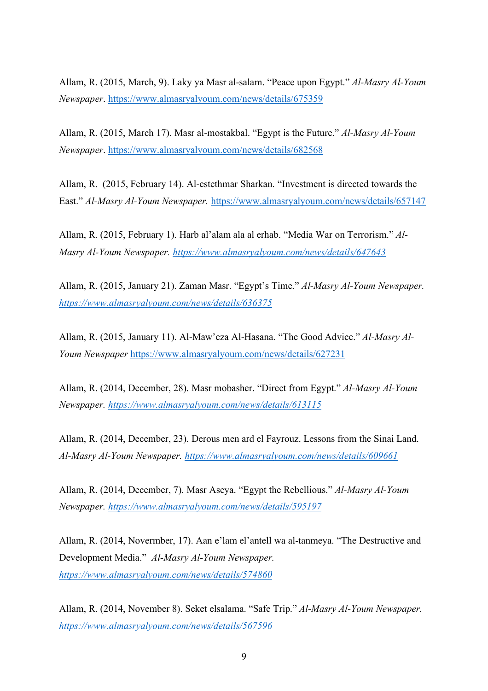Allam, R. (2015, March, 9). Laky ya Masr al-salam. "Peace upon Egypt." *Al-Masry Al-Youm Newspaper*. https://www.almasryalyoum.com/news/details/675359

Allam, R. (2015, March 17). Masr al-mostakbal. "Egypt is the Future." *Al-Masry Al-Youm Newspaper*. https://www.almasryalyoum.com/news/details/682568

Allam, R. (2015, February 14). Al-estethmar Sharkan. "Investment is directed towards the East." *Al-Masry Al-Youm Newspaper.* https://www.almasryalyoum.com/news/details/657147

Allam, R. (2015, February 1). Harb al'alam ala al erhab. "Media War on Terrorism." *Al-Masry Al-Youm Newspaper. https://www.almasryalyoum.com/news/details/647643*

Allam, R. (2015, January 21). Zaman Masr. "Egypt's Time." *Al-Masry Al-Youm Newspaper. https://www.almasryalyoum.com/news/details/636375*

Allam, R. (2015, January 11). Al-Maw'eza Al-Hasana. "The Good Advice." *Al-Masry Al-Youm Newspaper* https://www.almasryalyoum.com/news/details/627231

Allam, R. (2014, December, 28). Masr mobasher. "Direct from Egypt." *Al-Masry Al-Youm Newspaper. https://www.almasryalyoum.com/news/details/613115*

Allam, R. (2014, December, 23). Derous men ard el Fayrouz. Lessons from the Sinai Land. *Al-Masry Al-Youm Newspaper. https://www.almasryalyoum.com/news/details/609661*

Allam, R. (2014, December, 7). Masr Aseya. "Egypt the Rebellious." *Al-Masry Al-Youm Newspaper. https://www.almasryalyoum.com/news/details/595197*

Allam, R. (2014, Novermber, 17). Aan e'lam el'antell wa al-tanmeya. "The Destructive and Development Media." *Al-Masry Al-Youm Newspaper. https://www.almasryalyoum.com/news/details/574860*

Allam, R. (2014, November 8). Seket elsalama. "Safe Trip." *Al-Masry Al-Youm Newspaper. https://www.almasryalyoum.com/news/details/567596*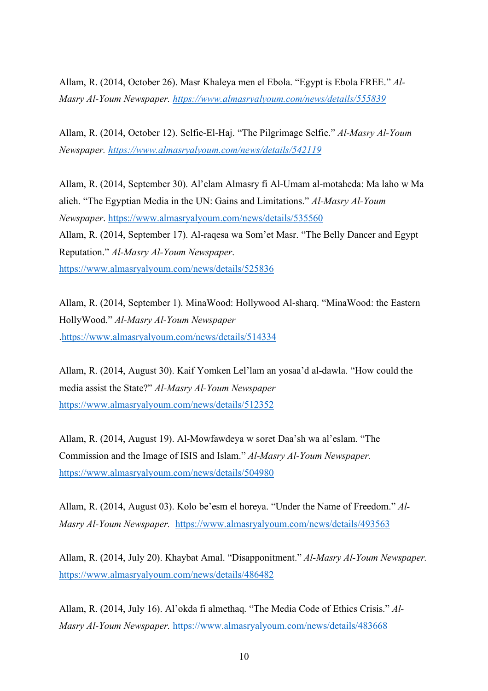Allam, R. (2014, October 26). Masr Khaleya men el Ebola. "Egypt is Ebola FREE." *Al-Masry Al-Youm Newspaper. https://www.almasryalyoum.com/news/details/555839*

Allam, R. (2014, October 12). Selfie-El-Haj. "The Pilgrimage Selfie." *Al-Masry Al-Youm Newspaper. https://www.almasryalyoum.com/news/details/542119*

Allam, R. (2014, September 30). Al'elam Almasry fi Al-Umam al-motaheda: Ma laho w Ma alieh. "The Egyptian Media in the UN: Gains and Limitations." *Al-Masry Al-Youm Newspaper*. https://www.almasryalyoum.com/news/details/535560 Allam, R. (2014, September 17). Al-raqesa wa Som'et Masr. "The Belly Dancer and Egypt Reputation." *Al-Masry Al-Youm Newspaper*. https://www.almasryalyoum.com/news/details/525836

Allam, R. (2014, September 1). MinaWood: Hollywood Al-sharq. "MinaWood: the Eastern HollyWood." *Al-Masry Al-Youm Newspaper* .https://www.almasryalyoum.com/news/details/514334

Allam, R. (2014, August 30). Kaif Yomken Lel'lam an yosaa'd al-dawla. "How could the media assist the State?" *Al-Masry Al-Youm Newspaper* https://www.almasryalyoum.com/news/details/512352

Allam, R. (2014, August 19). Al-Mowfawdeya w soret Daa'sh wa al'eslam. "The Commission and the Image of ISIS and Islam." *Al-Masry Al-Youm Newspaper.* https://www.almasryalyoum.com/news/details/504980

Allam, R. (2014, August 03). Kolo be'esm el horeya. "Under the Name of Freedom." *Al-Masry Al-Youm Newspaper.* https://www.almasryalyoum.com/news/details/493563

Allam, R. (2014, July 20). Khaybat Amal. "Disapponitment." *Al-Masry Al-Youm Newspaper.* https://www.almasryalyoum.com/news/details/486482

Allam, R. (2014, July 16). Al'okda fi almethaq. "The Media Code of Ethics Crisis." *Al-Masry Al-Youm Newspaper.* https://www.almasryalyoum.com/news/details/483668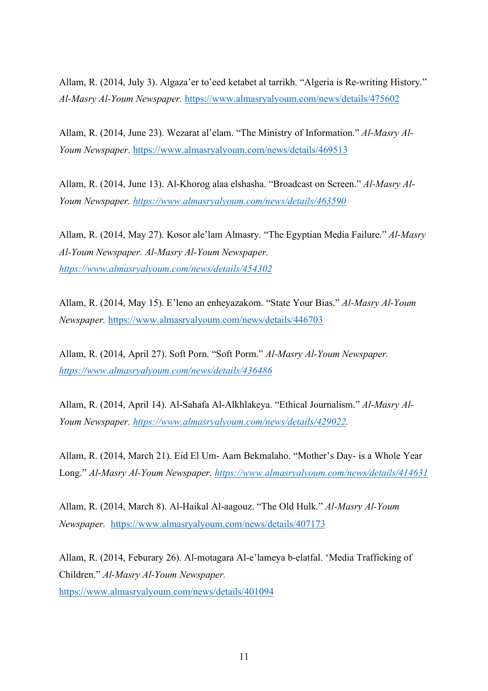Allam, R. (2014, July 3). Algaza'er to'eed ketabet al tarrikh. "Algeria is Re-writing History." *Al-Masry Al-Youm Newspaper.* https://www.almasryalyoum.com/news/details/475602

Allam, R. (2014, June 23). Wezarat al'elam. "The Ministry of Information." *Al-Masry Al-Youm Newspaper*. https://www.almasryalyoum.com/news/details/469513

Allam, R. (2014, June 13). Al-Khorog alaa elshasha. "Broadcast on Screen." *Al-Masry Al-Youm Newspaper. https://www.almasryalyoum.com/news/details/463590*

Allam, R. (2014, May 27). Kosor ale'lam Almasry. "The Egyptian Media Failure." *Al-Masry Al-Youm Newspaper. Al-Masry Al-Youm Newspaper. https://www.almasryalyoum.com/news/details/454302*

Allam, R. (2014, May 15). E'leno an enheyazakom. "State Your Bias." *Al-Masry Al-Youm Newspaper.* https://www.almasryalyoum.com/news/details/446703

Allam, R. (2014, April 27). Soft Porn. "Soft Porm." *Al-Masry Al-Youm Newspaper. https://www.almasryalyoum.com/news/details/436486*

Allam, R. (2014, April 14). Al-Sahafa Al-Alkhlakeya. "Ethical Journalism." *Al-Masry Al-Youm Newspaper. https://www.almasryalyoum.com/news/details/429022.*

Allam, R. (2014, March 21). Eid El Um- Aam Bekmalaho. "Mother's Day- is a Whole Year Long." *Al-Masry Al-Youm Newspaper. https://www.almasryalyoum.com/news/details/414631*

Allam, R. (2014, March 8). Al-Haikal Al-aagouz. "The Old Hulk." *Al-Masry Al-Youm Newspaper.* https://www.almasryalyoum.com/news/details/407173

Allam, R. (2014, Feburary 26). Al-motagara Al-e'lameya b-elatfal. 'Media Trafficking of Children." *Al-Masry Al-Youm Newspaper.* https://www.almasryalyoum.com/news/details/401094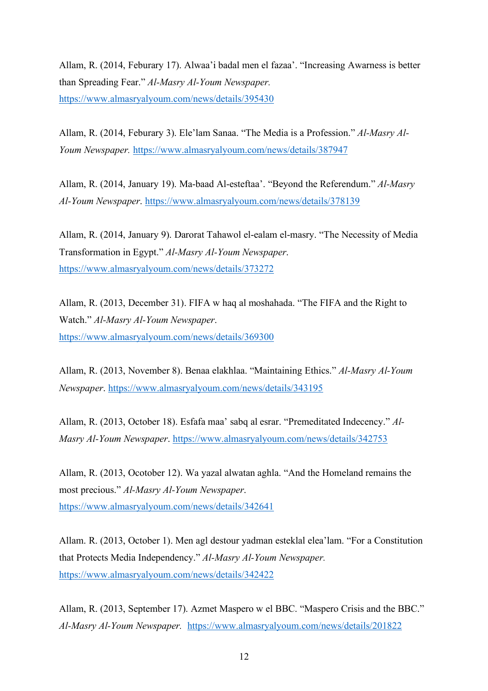Allam, R. (2014, Feburary 17). Alwaa'i badal men el fazaa'. "Increasing Awarness is better than Spreading Fear." *Al-Masry Al-Youm Newspaper.* https://www.almasryalyoum.com/news/details/395430

Allam, R. (2014, Feburary 3). Ele'lam Sanaa. "The Media is a Profession." *Al-Masry Al-Youm Newspaper.* https://www.almasryalyoum.com/news/details/387947

Allam, R. (2014, January 19). Ma-baad Al-esteftaa'. "Beyond the Referendum." *Al-Masry Al-Youm Newspaper*. https://www.almasryalyoum.com/news/details/378139

Allam, R. (2014, January 9). Darorat Tahawol el-ealam el-masry. "The Necessity of Media Transformation in Egypt." *Al-Masry Al-Youm Newspaper*. https://www.almasryalyoum.com/news/details/373272

Allam, R. (2013, December 31). FIFA w haq al moshahada. "The FIFA and the Right to Watch." *Al-Masry Al-Youm Newspaper*. https://www.almasryalyoum.com/news/details/369300

Allam, R. (2013, November 8). Benaa elakhlaa. "Maintaining Ethics." *Al-Masry Al-Youm Newspaper*. https://www.almasryalyoum.com/news/details/343195

Allam, R. (2013, October 18). Esfafa maa' sabq al esrar. "Premeditated Indecency." *Al-Masry Al-Youm Newspaper*. https://www.almasryalyoum.com/news/details/342753

Allam, R. (2013, Ocotober 12). Wa yazal alwatan aghla. "And the Homeland remains the most precious." *Al-Masry Al-Youm Newspaper*. https://www.almasryalyoum.com/news/details/342641

Allam. R. (2013, October 1). Men agl destour yadman esteklal elea'lam. "For a Constitution that Protects Media Independency." *Al-Masry Al-Youm Newspaper.* https://www.almasryalyoum.com/news/details/342422

Allam, R. (2013, September 17). Azmet Maspero w el BBC. "Maspero Crisis and the BBC." *Al-Masry Al-Youm Newspaper.* https://www.almasryalyoum.com/news/details/201822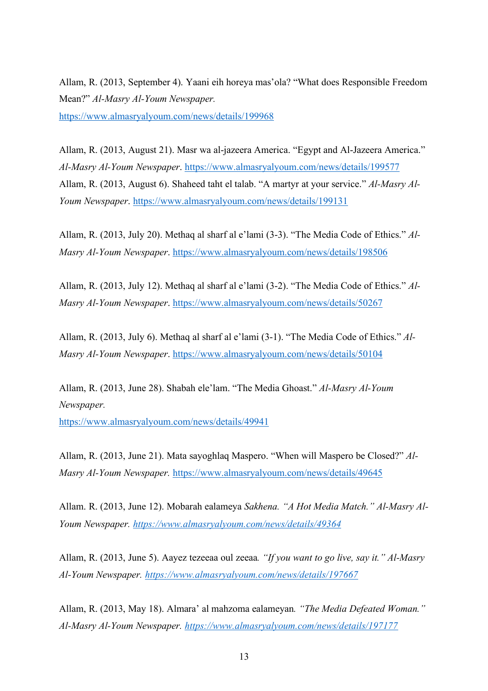Allam, R. (2013, September 4). Yaani eih horeya mas'ola? "What does Responsible Freedom Mean?" *Al-Masry Al-Youm Newspaper.* https://www.almasryalyoum.com/news/details/199968

Allam, R. (2013, August 21). Masr wa al-jazeera America. "Egypt and Al-Jazeera America." *Al-Masry Al-Youm Newspaper*. https://www.almasryalyoum.com/news/details/199577 Allam, R. (2013, August 6). Shaheed taht el talab. "A martyr at your service." *Al-Masry Al-Youm Newspaper*. https://www.almasryalyoum.com/news/details/199131

Allam, R. (2013, July 20). Methaq al sharf al e'lami (3-3). "The Media Code of Ethics." *Al-Masry Al-Youm Newspaper*. https://www.almasryalyoum.com/news/details/198506

Allam, R. (2013, July 12). Methaq al sharf al e'lami (3-2). "The Media Code of Ethics." *Al-Masry Al-Youm Newspaper*. https://www.almasryalyoum.com/news/details/50267

Allam, R. (2013, July 6). Methaq al sharf al e'lami (3-1). "The Media Code of Ethics." *Al-Masry Al-Youm Newspaper*. https://www.almasryalyoum.com/news/details/50104

Allam, R. (2013, June 28). Shabah ele'lam. "The Media Ghoast." *Al-Masry Al-Youm Newspaper.*

https://www.almasryalyoum.com/news/details/49941

Allam, R. (2013, June 21). Mata sayoghlaq Maspero. "When will Maspero be Closed?" *Al-Masry Al-Youm Newspaper.* https://www.almasryalyoum.com/news/details/49645

Allam. R. (2013, June 12). Mobarah ealameya *Sakhena. "A Hot Media Match." Al-Masry Al-Youm Newspaper. https://www.almasryalyoum.com/news/details/49364*

Allam, R. (2013, June 5). Aayez tezeeaa oul zeeaa*. "If you want to go live, say it." Al-Masry Al-Youm Newspaper. https://www.almasryalyoum.com/news/details/197667*

Allam, R. (2013, May 18). Almara' al mahzoma ealameyan*. "The Media Defeated Woman." Al-Masry Al-Youm Newspaper. https://www.almasryalyoum.com/news/details/197177*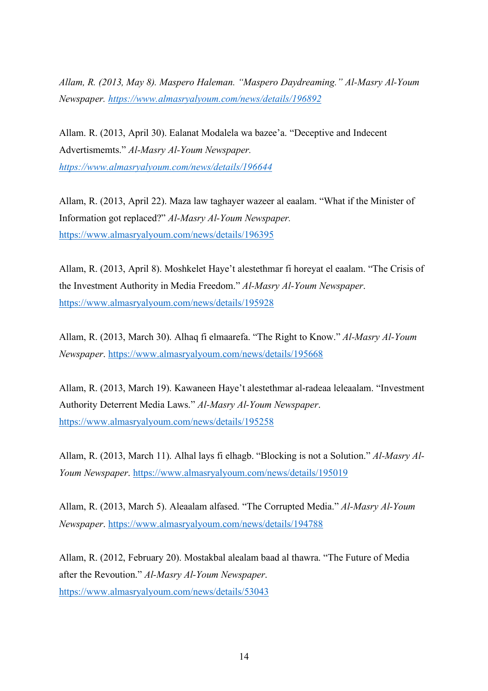*Allam, R. (2013, May 8). Maspero Haleman. "Maspero Daydreaming." Al-Masry Al-Youm Newspaper. https://www.almasryalyoum.com/news/details/196892*

Allam. R. (2013, April 30). Ealanat Modalela wa bazee'a. "Deceptive and Indecent Advertismemts." *Al-Masry Al-Youm Newspaper. https://www.almasryalyoum.com/news/details/196644*

Allam, R. (2013, April 22). Maza law taghayer wazeer al eaalam. "What if the Minister of Information got replaced?" *Al-Masry Al-Youm Newspaper.*  https://www.almasryalyoum.com/news/details/196395

Allam, R. (2013, April 8). Moshkelet Haye't alestethmar fi horeyat el eaalam. "The Crisis of the Investment Authority in Media Freedom." *Al-Masry Al-Youm Newspaper*. https://www.almasryalyoum.com/news/details/195928

Allam, R. (2013, March 30). Alhaq fi elmaarefa. "The Right to Know." *Al-Masry Al-Youm Newspaper*. https://www.almasryalyoum.com/news/details/195668

Allam, R. (2013, March 19). Kawaneen Haye't alestethmar al-radeaa leleaalam. "Investment Authority Deterrent Media Laws." *Al-Masry Al-Youm Newspaper*. https://www.almasryalyoum.com/news/details/195258

Allam, R. (2013, March 11). Alhal lays fi elhagb. "Blocking is not a Solution." *Al-Masry Al-Youm Newspaper*. https://www.almasryalyoum.com/news/details/195019

Allam, R. (2013, March 5). Aleaalam alfased. "The Corrupted Media." *Al-Masry Al-Youm Newspaper*. https://www.almasryalyoum.com/news/details/194788

Allam, R. (2012, February 20). Mostakbal alealam baad al thawra. "The Future of Media after the Revoution." *Al-Masry Al-Youm Newspaper*. https://www.almasryalyoum.com/news/details/53043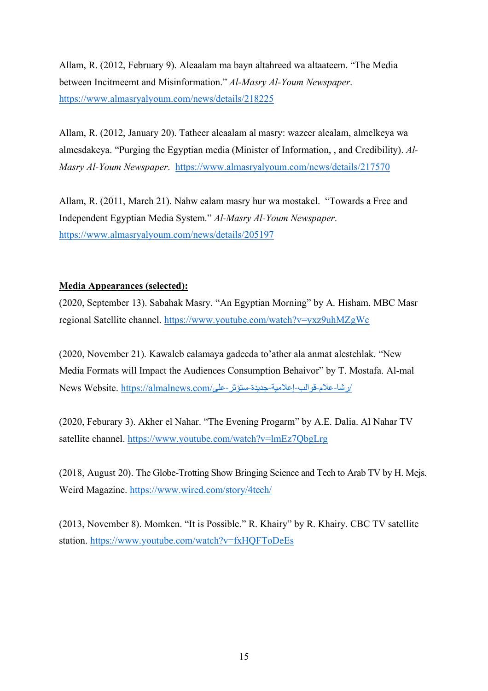Allam, R. (2012, February 9). Aleaalam ma bayn altahreed wa altaateem. "The Media between Incitmeemt and Misinformation." *Al-Masry Al-Youm Newspaper*. https://www.almasryalyoum.com/news/details/218225

Allam, R. (2012, January 20). Tatheer aleaalam al masry: wazeer alealam, almelkeya wa almesdakeya. "Purging the Egyptian media (Minister of Information, , and Credibility). *Al-Masry Al-Youm Newspaper*. https://www.almasryalyoum.com/news/details/217570

Allam, R. (2011, March 21). Nahw ealam masry hur wa mostakel. "Towards a Free and Independent Egyptian Media System." *Al-Masry Al-Youm Newspaper*. https://www.almasryalyoum.com/news/details/205197

## **Media Appearances (selected):**

(2020, September 13). Sabahak Masry. "An Egyptian Morning" by A. Hisham. MBC Masr regional Satellite channel. https://www.youtube.com/watch?v=yxz9uhMZgWc

(2020, November 21). Kawaleb ealamaya gadeeda to'ather ala anmat alestehlak. "New Media Formats will Impact the Audiences Consumption Behaivor" by T. Mostafa. Al-mal / الاشا-علام-قوالب-إعلامية-جديدة-ستؤثر-على/News Website. https://almalnews.com

(2020, Feburary 3). Akher el Nahar. "The Evening Progarm" by A.E. Dalia. Al Nahar TV satellite channel. https://www.youtube.com/watch?v=lmEz7QbgLrg

(2018, August 20). The Globe-Trotting Show Bringing Science and Tech to Arab TV by H. Mejs. Weird Magazine. https://www.wired.com/story/4tech/

(2013, November 8). Momken. "It is Possible." R. Khairy" by R. Khairy. CBC TV satellite station. https://www.youtube.com/watch?v=fxHQFToDeEs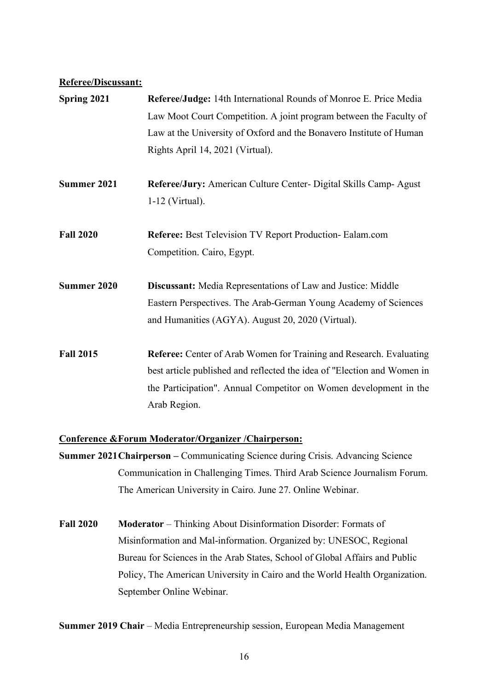#### **Referee/Discussant:**

| Spring 2021        | Referee/Judge: 14th International Rounds of Monroe E. Price Media                     |
|--------------------|---------------------------------------------------------------------------------------|
|                    | Law Moot Court Competition. A joint program between the Faculty of                    |
|                    | Law at the University of Oxford and the Bonavero Institute of Human                   |
|                    | Rights April 14, 2021 (Virtual).                                                      |
| Summer 2021        | Referee/Jury: American Culture Center- Digital Skills Camp-Agust<br>$1-12$ (Virtual). |
|                    |                                                                                       |
| <b>Fall 2020</b>   | <b>Referee:</b> Best Television TV Report Production-Ealam.com                        |
|                    | Competition. Cairo, Egypt.                                                            |
| <b>Summer 2020</b> | Discussant: Media Representations of Law and Justice: Middle                          |
|                    | Eastern Perspectives. The Arab-German Young Academy of Sciences                       |
|                    | and Humanities (AGYA). August 20, 2020 (Virtual).                                     |
| <b>Fall 2015</b>   | <b>Referee:</b> Center of Arab Women for Training and Research. Evaluating            |
|                    | best article published and reflected the idea of "Election and Women in               |
|                    | the Participation". Annual Competitor on Women development in the<br>Arab Region.     |
|                    |                                                                                       |

#### **Conference &Forum Moderator/Organizer /Chairperson:**

- **Summer 2021Chairperson –** Communicating Science during Crisis. Advancing Science Communication in Challenging Times. Third Arab Science Journalism Forum. The American University in Cairo. June 27. Online Webinar.
- **Fall 2020 Moderator** Thinking About Disinformation Disorder: Formats of Misinformation and Mal-information. Organized by: UNESOC, Regional Bureau for Sciences in the Arab States, School of Global Affairs and Public Policy, The American University in Cairo and the World Health Organization. September Online Webinar.

**Summer 2019 Chair** – Media Entrepreneurship session, European Media Management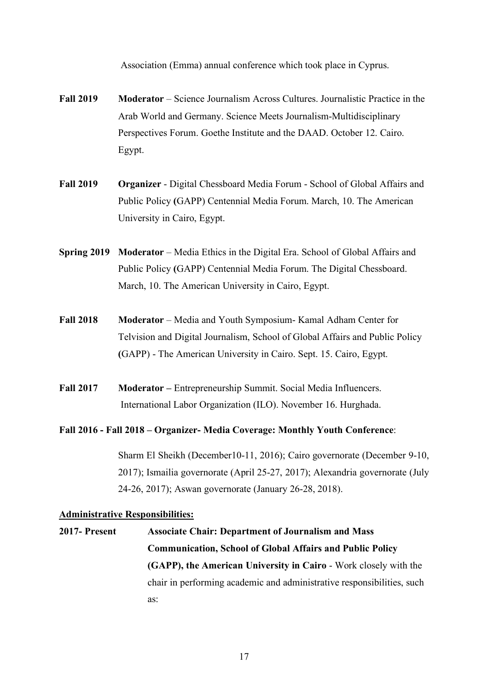Association (Emma) annual conference which took place in Cyprus.

- **Fall 2019 Moderator**  Science Journalism Across Cultures. Journalistic Practice in the Arab World and Germany. Science Meets Journalism-Multidisciplinary Perspectives Forum. Goethe Institute and the DAAD. October 12. Cairo. Egypt.
- **Fall 2019 Organizer** Digital Chessboard Media Forum School of Global Affairs and Public Policy **(**GAPP) Centennial Media Forum. March, 10. The American University in Cairo, Egypt.
- **Spring 2019 Moderator** Media Ethics in the Digital Era. School of Global Affairs and Public Policy **(**GAPP) Centennial Media Forum. The Digital Chessboard. March, 10. The American University in Cairo, Egypt.
- **Fall 2018 Moderator** Media and Youth Symposium- Kamal Adham Center for Telvision and Digital Journalism, School of Global Affairs and Public Policy **(**GAPP) - The American University in Cairo. Sept. 15. Cairo, Egypt.
- **Fall 2017 Moderator –** Entrepreneurship Summit. Social Media Influencers. International Labor Organization (ILO). November 16. Hurghada.

#### **Fall 2016 - Fall 2018 – Organizer- Media Coverage: Monthly Youth Conference**:

Sharm El Sheikh (December10-11, 2016); Cairo governorate (December 9-10, 2017); Ismailia governorate (April 25-27, 2017); Alexandria governorate (July 24-26, 2017); Aswan governorate (January 26-28, 2018).

#### **Administrative Responsibilities:**

**2017- Present Associate Chair: Department of Journalism and Mass Communication, School of Global Affairs and Public Policy (GAPP), the American University in Cairo** - Work closely with the chair in performing academic and administrative responsibilities, such as: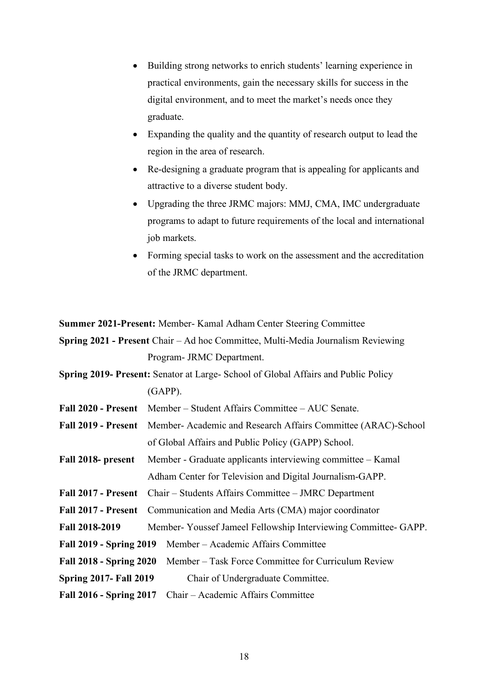- Building strong networks to enrich students' learning experience in practical environments, gain the necessary skills for success in the digital environment, and to meet the market's needs once they graduate.
- Expanding the quality and the quantity of research output to lead the region in the area of research.
- Re-designing a graduate program that is appealing for applicants and attractive to a diverse student body.
- Upgrading the three JRMC majors: MMJ, CMA, IMC undergraduate programs to adapt to future requirements of the local and international job markets.
- Forming special tasks to work on the assessment and the accreditation of the JRMC department.

**Summer 2021-Present:** Member- Kamal Adham Center Steering Committee

**Spring 2021 - Present** Chair – Ad hoc Committee, Multi-Media Journalism Reviewing Program- JRMC Department.

**Spring 2019- Present:** Senator at Large- School of Global Affairs and Public Policy (GAPP).

**Fall 2020 - Present** Member – Student Affairs Committee – AUC Senate.

- **Fall 2019 - Present** Member- Academic and Research Affairs Committee (ARAC)-School of Global Affairs and Public Policy (GAPP) School.
- **Fall 2018- present** Member Graduate applicants interviewing committee Kamal Adham Center for Television and Digital Journalism-GAPP.

**Fall 2017 - Present** Chair – Students Affairs Committee – JMRC Department

- **Fall 2017 - Present** Communication and Media Arts (CMA) major coordinator
- **Fall 2018-2019** Member- Youssef Jameel Fellowship Interviewing Committee- GAPP.
- **Fall 2019 - Spring 2019** Member Academic Affairs Committee
- **Fall 2018 - Spring 2020** Member Task Force Committee for Curriculum Review
- **Spring 2017- Fall 2019** Chair of Undergraduate Committee.
- **Fall 2016 - Spring 2017** Chair Academic Affairs Committee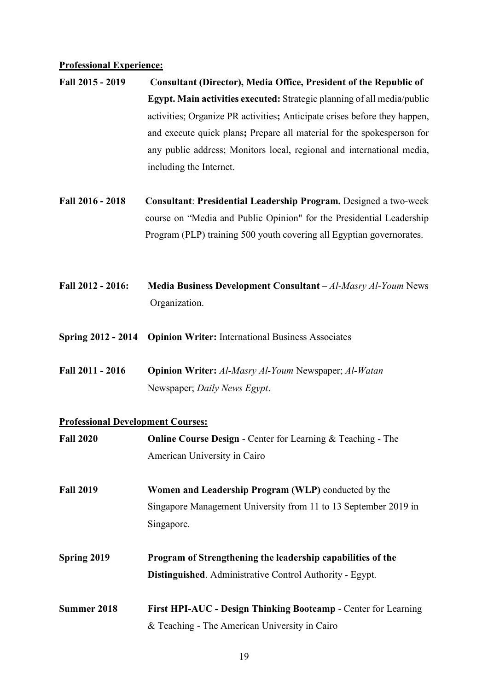#### **Professional Experience:**

- **Fall 2015 - 2019 Consultant (Director), Media Office, President of the Republic of Egypt. Main activities executed:** Strategic planning of all media/public activities; Organize PR activities**;** Anticipate crises before they happen, and execute quick plans**;** Prepare all material for the spokesperson for any public address; Monitors local, regional and international media, including the Internet.
- **Fall 2016 - 2018 Consultant**: **Presidential Leadership Program.** Designed a two-week course on "Media and Public Opinion" for the Presidential Leadership Program (PLP) training 500 youth covering all Egyptian governorates.
- **Fall 2012 - 2016: Media Business Development Consultant –** *Al-Masry Al-Youm* News Organization.
- **Spring 2012 - 2014 Opinion Writer:** International Business Associates
- **Fall 2011 - 2016 Opinion Writer:** *Al-Masry Al-Youm* Newspaper; *Al-Watan* Newspaper; *Daily News Egypt*.

## **Professional Development Courses:**

| <b>Fall 2020</b> | <b>Online Course Design - Center for Learning &amp; Teaching - The</b> |
|------------------|------------------------------------------------------------------------|
|                  | American University in Cairo                                           |
| <b>Fall 2019</b> | <b>Women and Leadership Program (WLP)</b> conducted by the             |
|                  | Singapore Management University from 11 to 13 September 2019 in        |
|                  | Singapore.                                                             |
| Spring 2019      | Program of Strengthening the leadership capabilities of the            |
|                  | Distinguished. Administrative Control Authority - Egypt.               |
| Summer 2018      | First HPI-AUC - Design Thinking Bootcamp - Center for Learning         |
|                  | & Teaching - The American University in Cairo                          |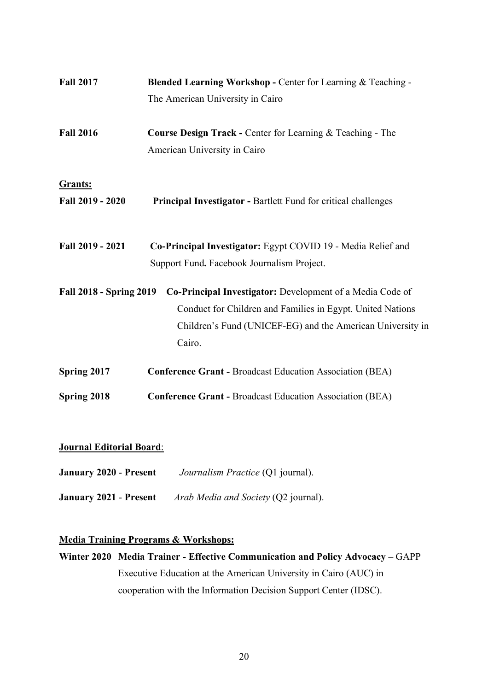| <b>Fall 2017</b>               | Blended Learning Workshop - Center for Learning & Teaching -                                                                                                                                    |
|--------------------------------|-------------------------------------------------------------------------------------------------------------------------------------------------------------------------------------------------|
|                                | The American University in Cairo                                                                                                                                                                |
| <b>Fall 2016</b>               | <b>Course Design Track - Center for Learning &amp; Teaching - The</b><br>American University in Cairo                                                                                           |
| Grants:<br>Fall 2019 - 2020    | <b>Principal Investigator - Bartlett Fund for critical challenges</b>                                                                                                                           |
| Fall 2019 - 2021               | Co-Principal Investigator: Egypt COVID 19 - Media Relief and<br>Support Fund. Facebook Journalism Project.                                                                                      |
| <b>Fall 2018 - Spring 2019</b> | Co-Principal Investigator: Development of a Media Code of<br>Conduct for Children and Families in Egypt. United Nations<br>Children's Fund (UNICEF-EG) and the American University in<br>Cairo. |
| Spring 2017                    | <b>Conference Grant - Broadcast Education Association (BEA)</b>                                                                                                                                 |
| Spring 2018                    | <b>Conference Grant - Broadcast Education Association (BEA)</b>                                                                                                                                 |
|                                |                                                                                                                                                                                                 |

### **Journal Editorial Board**:

- **January 2020 Present** *Journalism Practice* (Q1 journal).
- **January 2021 Present** *Arab Media and Society* (Q2 journal).

## **Media Training Programs & Workshops:**

**Winter 2020 Media Trainer - Effective Communication and Policy Advocacy –** GAPP Executive Education at the American University in Cairo (AUC) in cooperation with the Information Decision Support Center (IDSC).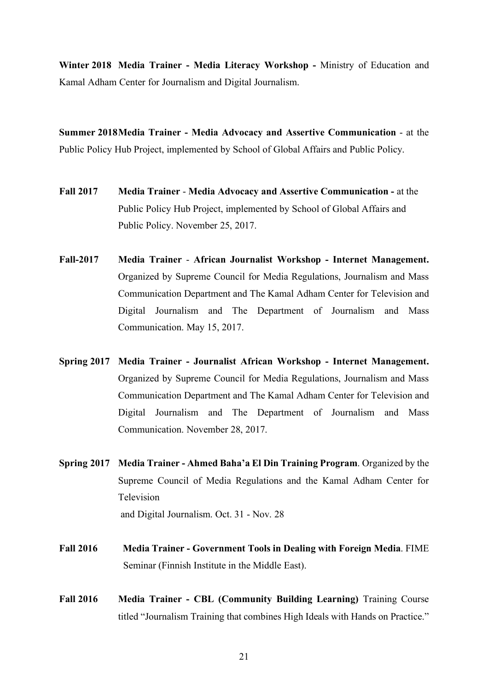**Winter 2018 Media Trainer - Media Literacy Workshop -** Ministry of Education and Kamal Adham Center for Journalism and Digital Journalism.

**Summer 2018Media Trainer - Media Advocacy and Assertive Communication** - at the Public Policy Hub Project, implemented by School of Global Affairs and Public Policy.

- **Fall 2017 Media Trainer Media Advocacy and Assertive Communication -** at the Public Policy Hub Project, implemented by School of Global Affairs and Public Policy. November 25, 2017.
- **Fall-2017 Media Trainer African Journalist Workshop - Internet Management.**  Organized by Supreme Council for Media Regulations, Journalism and Mass Communication Department and The Kamal Adham Center for Television and Digital Journalism and The Department of Journalism and Mass Communication. May 15, 2017.
- **Spring 2017 Media Trainer - Journalist African Workshop - Internet Management.**  Organized by Supreme Council for Media Regulations, Journalism and Mass Communication Department and The Kamal Adham Center for Television and Digital Journalism and The Department of Journalism and Mass Communication. November 28, 2017.
- **Spring 2017 Media Trainer - Ahmed Baha'a El Din Training Program**. Organized by the Supreme Council of Media Regulations and the Kamal Adham Center for Television and Digital Journalism. Oct. 31 - Nov. 28
- **Fall 2016 Media Trainer - Government Tools in Dealing with Foreign Media**. FIME Seminar (Finnish Institute in the Middle East).
- **Fall 2016 Media Trainer - CBL (Community Building Learning)** Training Course titled "Journalism Training that combines High Ideals with Hands on Practice."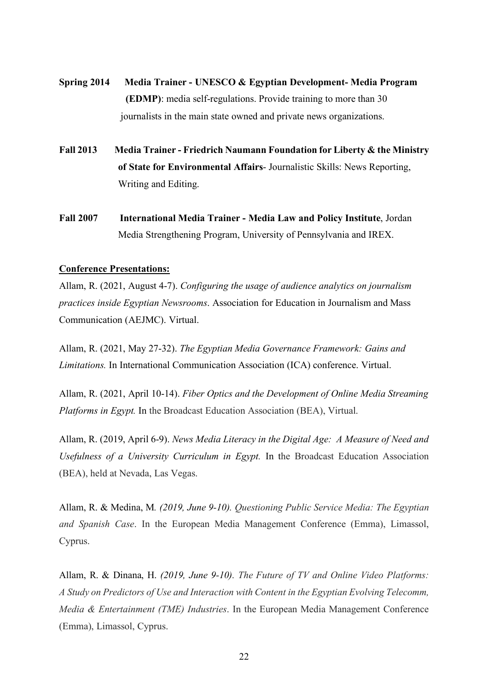- **Spring 2014 Media Trainer - UNESCO & Egyptian Development- Media Program (EDMP)**: media self-regulations. Provide training to more than 30 journalists in the main state owned and private news organizations.
- **Fall 2013 Media Trainer - Friedrich Naumann Foundation for Liberty & the Ministry of State for Environmental Affairs**- Journalistic Skills: News Reporting, Writing and Editing.
- **Fall 2007 International Media Trainer - Media Law and Policy Institute**, Jordan Media Strengthening Program, University of Pennsylvania and IREX.

#### **Conference Presentations:**

Allam, R. (2021, August 4-7). *Configuring the usage of audience analytics on journalism practices inside Egyptian Newsrooms*. Association for Education in Journalism and Mass Communication (AEJMC). Virtual.

Allam, R. (2021, May 27-32). *The Egyptian Media Governance Framework: Gains and Limitations.* In International Communication Association (ICA) conference. Virtual.

Allam, R. (2021, April 10-14). *Fiber Optics and the Development of Online Media Streaming Platforms in Egypt.* In the Broadcast Education Association (BEA), Virtual.

Allam, R. (2019, April 6-9). *News Media Literacy in the Digital Age: A Measure of Need and Usefulness of a University Curriculum in Egypt.* In the Broadcast Education Association (BEA), held at Nevada, Las Vegas.

Allam, R. & Medina, M*. (2019, June 9-10). Questioning Public Service Media: The Egyptian and Spanish Case*. In the European Media Management Conference (Emma), Limassol, Cyprus.

Allam, R. & Dinana, H. *(2019, June 9-10). The Future of TV and Online Video Platforms: A Study on Predictors of Use and Interaction with Content in the Egyptian Evolving Telecomm, Media & Entertainment (TME) Industries*. In the European Media Management Conference (Emma), Limassol, Cyprus.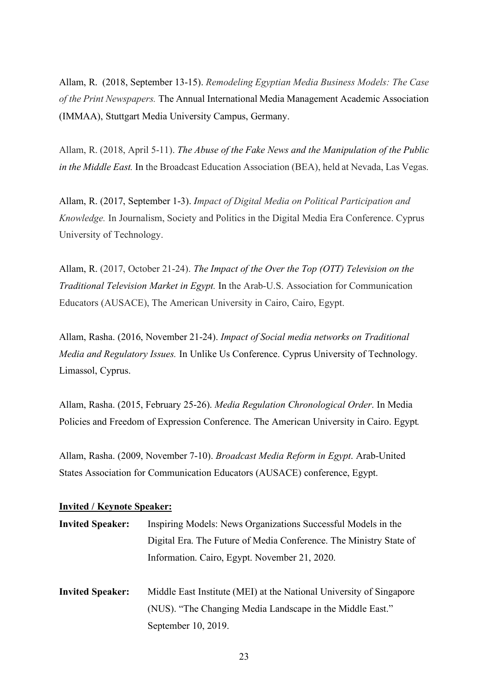Allam, R. (2018, September 13-15). *Remodeling Egyptian Media Business Models: The Case of the Print Newspapers.* The Annual International Media Management Academic Association (IMMAA), Stuttgart Media University Campus, Germany.

Allam, R. (2018, April 5-11). *The Abuse of the Fake News and the Manipulation of the Public in the Middle East.* In the Broadcast Education Association (BEA), held at Nevada, Las Vegas.

Allam, R. (2017, September 1-3). *Impact of Digital Media on Political Participation and Knowledge.* In Journalism, Society and Politics in the Digital Media Era Conference. Cyprus University of Technology.

Allam, R. (2017, October 21-24). *The Impact of the Over the Top (OTT) Television on the Traditional Television Market in Egypt.* In the Arab-U.S. Association for Communication Educators (AUSACE), The American University in Cairo, Cairo, Egypt.

Allam, Rasha. (2016, November 21-24). *Impact of Social media networks on Traditional Media and Regulatory Issues.* In Unlike Us Conference. Cyprus University of Technology. Limassol, Cyprus.

Allam, Rasha. (2015, February 25-26). *Media Regulation Chronological Order*. In Media Policies and Freedom of Expression Conference. The American University in Cairo. Egypt*.* 

Allam, Rasha. (2009, November 7-10). *Broadcast Media Reform in Egypt*. Arab-United States Association for Communication Educators (AUSACE) conference, Egypt.

#### **Invited / Keynote Speaker:**

| <b>Invited Speaker:</b> | Inspiring Models: News Organizations Successful Models in the      |
|-------------------------|--------------------------------------------------------------------|
|                         | Digital Era. The Future of Media Conference. The Ministry State of |
|                         | Information. Cairo, Egypt. November 21, 2020.                      |
|                         |                                                                    |

**Invited Speaker:** Middle East Institute (MEI) at the National University of Singapore (NUS). "The Changing Media Landscape in the Middle East." September 10, 2019.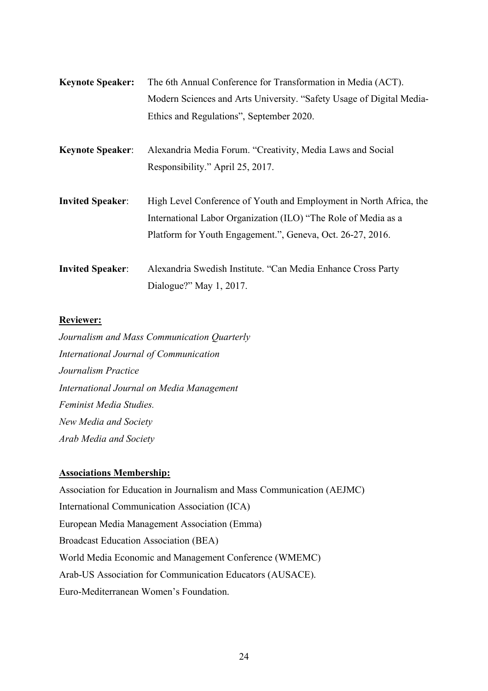| <b>Keynote Speaker:</b> | The 6th Annual Conference for Transformation in Media (ACT).                                                                                                                                       |
|-------------------------|----------------------------------------------------------------------------------------------------------------------------------------------------------------------------------------------------|
|                         | Modern Sciences and Arts University. "Safety Usage of Digital Media-                                                                                                                               |
|                         | Ethics and Regulations", September 2020.                                                                                                                                                           |
| <b>Keynote Speaker:</b> | Alexandria Media Forum. "Creativity, Media Laws and Social                                                                                                                                         |
|                         | Responsibility." April 25, 2017.                                                                                                                                                                   |
| <b>Invited Speaker:</b> | High Level Conference of Youth and Employment in North Africa, the<br>International Labor Organization (ILO) "The Role of Media as a<br>Platform for Youth Engagement.", Geneva, Oct. 26-27, 2016. |
| <b>Invited Speaker:</b> | Alexandria Swedish Institute. "Can Media Enhance Cross Party<br>Dialogue?" May $1, 2017$ .                                                                                                         |

## **Reviewer:**

*Journalism and Mass Communication Quarterly International Journal of Communication Journalism Practice International Journal on Media Management Feminist Media Studies. New Media and Society Arab Media and Society*

## **Associations Membership:**

Association for Education in Journalism and Mass Communication (AEJMC) International Communication Association (ICA) European Media Management Association (Emma) Broadcast Education Association (BEA) World Media Economic and Management Conference (WMEMC) Arab-US Association for Communication Educators (AUSACE). Euro-Mediterranean Women's Foundation.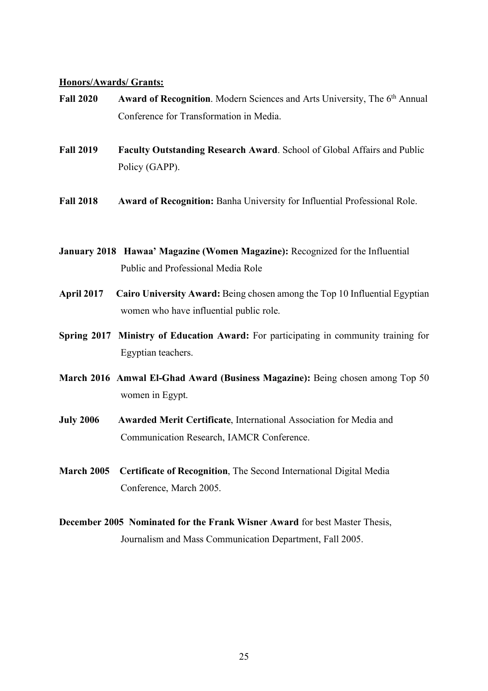#### **Honors/Awards/ Grants:**

- **Fall 2020 Award of Recognition**. Modern Sciences and Arts University, The 6<sup>th</sup> Annual Conference for Transformation in Media.
- **Fall 2019 Faculty Outstanding Research Award**. School of Global Affairs and Public Policy (GAPP).
- **Fall 2018 Award of Recognition:** Banha University for Influential Professional Role.
- **January 2018 Hawaa' Magazine (Women Magazine):** Recognized for the Influential Public and Professional Media Role
- **April 2017 Cairo University Award:** Being chosen among the Top 10 Influential Egyptian women who have influential public role.
- **Spring 2017 Ministry of Education Award:** For participating in community training for Egyptian teachers.
- **March 2016 Amwal El-Ghad Award (Business Magazine):** Being chosen among Top 50 women in Egypt.
- **July 2006 Awarded Merit Certificate**, International Association for Media and Communication Research, IAMCR Conference.
- **March 2005 Certificate of Recognition**, The Second International Digital Media Conference, March 2005.
- **December 2005 Nominated for the Frank Wisner Award** for best Master Thesis, Journalism and Mass Communication Department, Fall 2005.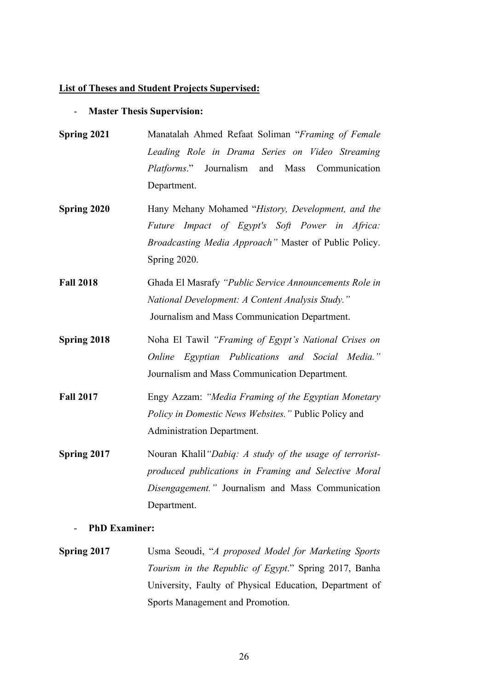#### **List of Theses and Student Projects Supervised:**

#### - **Master Thesis Supervision:**

- **Spring 2021** Manatalah Ahmed Refaat Soliman "*Framing of Female Leading Role in Drama Series on Video Streaming Platforms*." Journalism and Mass Communication Department.
- **Spring 2020** Hany Mehany Mohamed "*History, Development, and the Future Impact of Egypt's Soft Power in Africa: Broadcasting Media Approach"* Master of Public Policy. Spring 2020.
- **Fall 2018** Ghada El Masrafy *"Public Service Announcements Role in National Development: A Content Analysis Study."* Journalism and Mass Communication Department.
- **Spring 2018** Noha El Tawil *"Framing of Egypt's National Crises on Online Egyptian Publications and Social Media."*  Journalism and Mass Communication Department*.*
- **Fall 2017** Engy Azzam: *"Media Framing of the Egyptian Monetary Policy in Domestic News Websites."* Public Policy and Administration Department.
- **Spring 2017** Nouran Khalil*"Dabiq: A study of the usage of terroristproduced publications in Framing and Selective Moral Disengagement."* Journalism and Mass Communication Department.

#### - **PhD Examiner:**

**Spring 2017** Usma Seoudi, "*A proposed Model for Marketing Sports Tourism in the Republic of Egypt*." Spring 2017, Banha University, Faulty of Physical Education, Department of Sports Management and Promotion.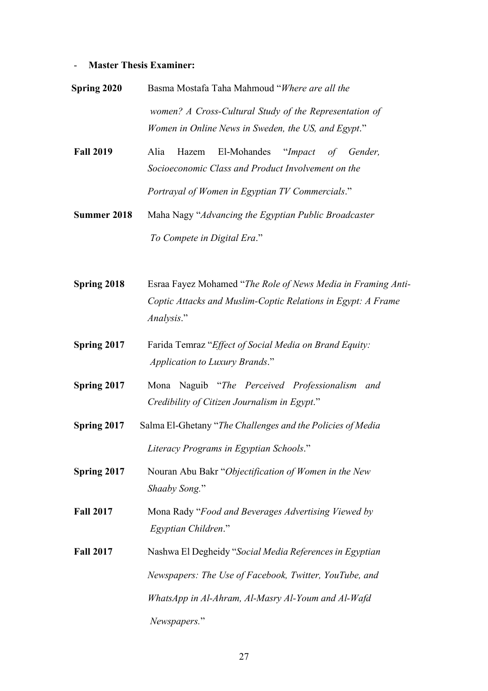# - **Master Thesis Examiner:**

| <b>Spring 2020</b> | Basma Mostafa Taha Mahmoud "Where are all the                                                                                              |
|--------------------|--------------------------------------------------------------------------------------------------------------------------------------------|
|                    | women? A Cross-Cultural Study of the Representation of<br>Women in Online News in Sweden, the US, and Egypt."                              |
| <b>Fall 2019</b>   | Alia<br>El-Mohandes<br>"Impact<br>Hazem<br>of<br>Gender,<br>Socioeconomic Class and Product Involvement on the                             |
|                    | Portrayal of Women in Egyptian TV Commercials."                                                                                            |
| Summer 2018        | Maha Nagy "Advancing the Egyptian Public Broadcaster<br>To Compete in Digital Era."                                                        |
|                    |                                                                                                                                            |
| Spring 2018        | Esraa Fayez Mohamed "The Role of News Media in Framing Anti-<br>Coptic Attacks and Muslim-Coptic Relations in Egypt: A Frame<br>Analysis." |
| Spring 2017        | Farida Temraz "Effect of Social Media on Brand Equity:<br>Application to Luxury Brands."                                                   |
| Spring 2017        | Mona Naguib "The Perceived Professionalism<br>and<br>Credibility of Citizen Journalism in Egypt."                                          |
| Spring 2017        | Salma El-Ghetany "The Challenges and the Policies of Media                                                                                 |
|                    | Literacy Programs in Egyptian Schools."                                                                                                    |
| Spring 2017        | Nouran Abu Bakr "Objectification of Women in the New<br>Shaaby Song."                                                                      |
| <b>Fall 2017</b>   | Mona Rady "Food and Beverages Advertising Viewed by<br>Egyptian Children."                                                                 |
| <b>Fall 2017</b>   | Nashwa El Degheidy "Social Media References in Egyptian                                                                                    |
|                    | Newspapers: The Use of Facebook, Twitter, YouTube, and                                                                                     |
|                    | WhatsApp in Al-Ahram, Al-Masry Al-Youm and Al-Wafd                                                                                         |
|                    | Newspapers."                                                                                                                               |